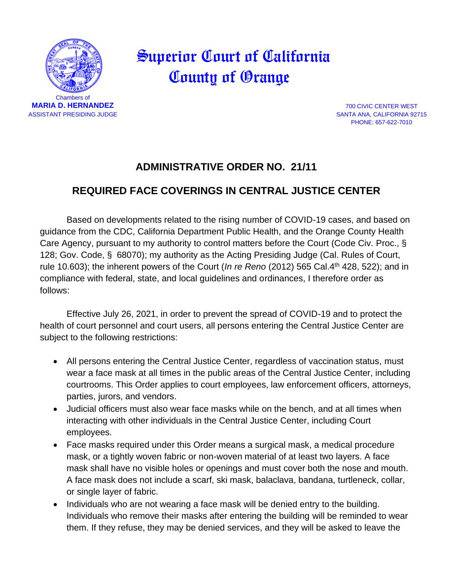

## Superior Court of California County of Orange

PHONE: 657-622-7010

## **ADMINISTRATIVE ORDER NO. 21/11**

## **REQUIRED FACE COVERINGS IN CENTRAL JUSTICE CENTER**

Based on developments related to the rising number of COVID-19 cases, and based on guidance from the CDC, California Department Public Health, and the Orange County Health Care Agency, pursuant to my authority to control matters before the Court (Code Civ. Proc., § 128; Gov. Code, § 68070); my authority as the Acting Presiding Judge (Cal. Rules of Court, rule 10.603); the inherent powers of the Court (*In re Reno* (2012) 565 Cal.4th 428, 522); and in compliance with federal, state, and local guidelines and ordinances, I therefore order as follows:

Effective July 26, 2021, in order to prevent the spread of COVID-19 and to protect the health of court personnel and court users, all persons entering the Central Justice Center are subject to the following restrictions:

- All persons entering the Central Justice Center, regardless of vaccination status, must wear a face mask at all times in the public areas of the Central Justice Center, including courtrooms. This Order applies to court employees, law enforcement officers, attorneys, parties, jurors, and vendors.
- Judicial officers must also wear face masks while on the bench, and at all times when interacting with other individuals in the Central Justice Center, including Court employees.
- Face masks required under this Order means a surgical mask, a medical procedure mask, or a tightly woven fabric or non-woven material of at least two layers. A face mask shall have no visible holes or openings and must cover both the nose and mouth. A face mask does not include a scarf, ski mask, balaclava, bandana, turtleneck, collar, or single layer of fabric.
- Individuals who are not wearing a face mask will be denied entry to the building. Individuals who remove their masks after entering the building will be reminded to wear them. If they refuse, they may be denied services, and they will be asked to leave the